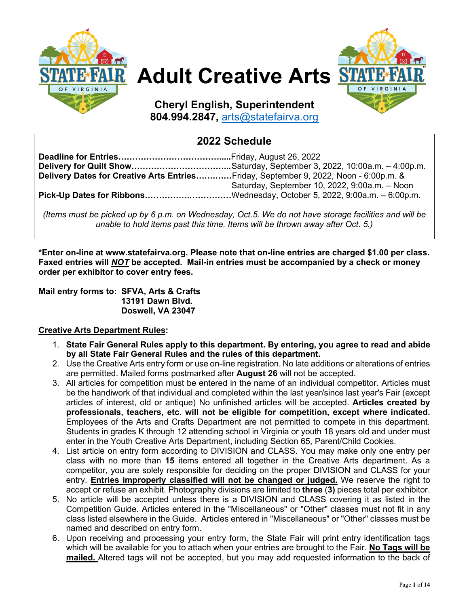

# **Adult Creative Arts**



**Cheryl English, Superintendent 804.994.2847,** [arts@statefairva.org](mailto:arts@statefairva.org)

# **2022 Schedule**

| Delivery Dates for Creative Arts EntriesFriday, September 9, 2022, Noon - 6:00p.m. & |                                               |
|--------------------------------------------------------------------------------------|-----------------------------------------------|
|                                                                                      | Saturday, September 10, 2022, 9:00a.m. - Noon |
| Pick-Up Dates for RibbonsWednesday, October 5, 2022, 9:00a.m. - 6:00p.m.             |                                               |

*(Items must be picked up by 6 p.m. on Wednesday, Oct.5. We do not have storage facilities and will be unable to hold items past this time. Items will be thrown away after Oct. 5.)*

**\*Enter on-line at www.statefairva.org. Please note that on-line entries are charged \$1.00 per class. Faxed entries will** *NOT* **be accepted. Mail-in entries must be accompanied by a check or money order per exhibitor to cover entry fees.**

**Mail entry forms to: SFVA, Arts & Crafts 13191 Dawn Blvd. Doswell, VA 23047**

# **Creative Arts Department Rules:**

- 1. **State Fair General Rules apply to this department. By entering, you agree to read and abide by all State Fair General Rules and the rules of this department.**
- 2. Use the Creative Arts entry form or use on-line registration. No late additions or alterations of entries are permitted. Mailed forms postmarked after **August 26** will not be accepted.
- 3. All articles for competition must be entered in the name of an individual competitor. Articles must be the handiwork of that individual and completed within the last year/since last year's Fair (except articles of interest, old or antique) No unfinished articles will be accepted. **Articles created by professionals, teachers, etc. will not be eligible for competition, except where indicated.**  Employees of the Arts and Crafts Department are not permitted to compete in this department. Students in grades K through 12 attending school in Virginia or youth 18 years old and under must enter in the Youth Creative Arts Department, including Section 65, Parent/Child Cookies.
- 4. List article on entry form according to DIVISION and CLASS. You may make only one entry per class with no more than **15** items entered all together in the Creative Arts department. As a competitor, you are solely responsible for deciding on the proper DIVISION and CLASS for your entry. **Entries improperly classified will not be changed or judged.** We reserve the right to accept or refuse an exhibit. Photography divisions are limited to **three** (**3)** pieces total per exhibitor.
- 5. No article will be accepted unless there is a DIVISION and CLASS covering it as listed in the Competition Guide. Articles entered in the "Miscellaneous" or "Other" classes must not fit in any class listed elsewhere in the Guide. Articles entered in "Miscellaneous" or "Other" classes must be named and described on entry form.
- 6. Upon receiving and processing your entry form, the State Fair will print entry identification tags which will be available for you to attach when your entries are brought to the Fair. **No Tags will be mailed.** Altered tags will not be accepted, but you may add requested information to the back of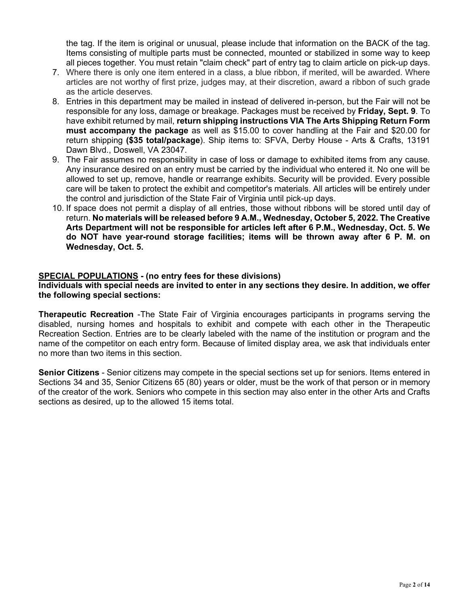the tag. If the item is original or unusual, please include that information on the BACK of the tag. Items consisting of multiple parts must be connected, mounted or stabilized in some way to keep all pieces together. You must retain "claim check" part of entry tag to claim article on pick-up days.

- 7. Where there is only one item entered in a class, a blue ribbon, if merited, will be awarded. Where articles are not worthy of first prize, judges may, at their discretion, award a ribbon of such grade as the article deserves.
- 8. Entries in this department may be mailed in instead of delivered in-person, but the Fair will not be responsible for any loss, damage or breakage. Packages must be received by **Friday, Sept. 9**. To have exhibit returned by mail, **return shipping instructions VIA The Arts Shipping Return Form must accompany the package** as well as \$15.00 to cover handling at the Fair and \$20.00 for return shipping **(\$35 total/package**). Ship items to: SFVA, Derby House - Arts & Crafts, 13191 Dawn Blvd., Doswell, VA 23047.
- 9. The Fair assumes no responsibility in case of loss or damage to exhibited items from any cause. Any insurance desired on an entry must be carried by the individual who entered it. No one will be allowed to set up, remove, handle or rearrange exhibits. Security will be provided. Every possible care will be taken to protect the exhibit and competitor's materials. All articles will be entirely under the control and jurisdiction of the State Fair of Virginia until pick-up days.
- 10. If space does not permit a display of all entries, those without ribbons will be stored until day of return. **No materials will be released before 9 A.M., Wednesday, October 5, 2022. The Creative Arts Department will not be responsible for articles left after 6 P.M., Wednesday, Oct. 5. We do NOT have year-round storage facilities; items will be thrown away after 6 P. M. on Wednesday, Oct. 5.**

## **SPECIAL POPULATIONS - (no entry fees for these divisions)**

**Individuals with special needs are invited to enter in any sections they desire. In addition, we offer the following special sections:** 

**Therapeutic Recreation** -The State Fair of Virginia encourages participants in programs serving the disabled, nursing homes and hospitals to exhibit and compete with each other in the Therapeutic Recreation Section. Entries are to be clearly labeled with the name of the institution or program and the name of the competitor on each entry form. Because of limited display area, we ask that individuals enter no more than two items in this section.

**Senior Citizens** - Senior citizens may compete in the special sections set up for seniors. Items entered in Sections 34 and 35, Senior Citizens 65 (80) years or older, must be the work of that person or in memory of the creator of the work. Seniors who compete in this section may also enter in the other Arts and Crafts sections as desired, up to the allowed 15 items total.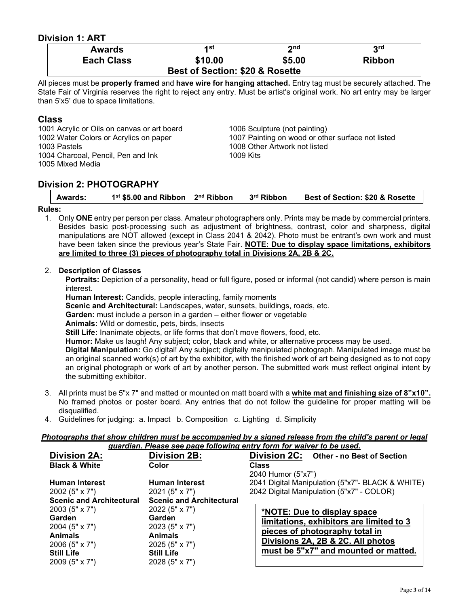# **Division 1: ART**

| <b>Awards</b>                              | 4 st    | 2nd    | 3 <sup>rd</sup> |  |
|--------------------------------------------|---------|--------|-----------------|--|
| <b>Each Class</b>                          | \$10.00 | \$5.00 | <b>Ribbon</b>   |  |
| <b>Best of Section: \$20 &amp; Rosette</b> |         |        |                 |  |

All pieces must be **properly framed** and **have wire for hanging attached.** Entry tag must be securely attached. The State Fair of Virginia reserves the right to reject any entry. Must be artist's original work. No art entry may be larger than 5'x5' due to space limitations.

# **Class**

1001 Acrylic or Oils on canvas or art board 1006 Sculpture (not painting) 1003 Pastels 1008 Other Artwork not listed<br>1004 Charcoal Pencil Pen and Ink 1009 Kits 1004 Charcoal, Pencil, Pen and Ink 1005 Mixed Media

1002 Water Colors or Acrylics on paper 1007 Painting on wood or other surface not listed

# **Division 2: PHOTOGRAPHY**

|  |  | Awards: | 1 <sup>st</sup> \$5.00 and Ribbon 2 <sup>nd</sup> Ribbon |  | 3 <sup>rd</sup> Ribbon | <b>Best of Section: \$20 &amp; Rosette</b> |
|--|--|---------|----------------------------------------------------------|--|------------------------|--------------------------------------------|
|--|--|---------|----------------------------------------------------------|--|------------------------|--------------------------------------------|

#### **Rules:**

1. Only **ONE** entry per person per class. Amateur photographers only. Prints may be made by commercial printers. Besides basic post-processing such as adjustment of brightness, contrast, color and sharpness, digital manipulations are NOT allowed (except in Class 2041 & 2042). Photo must be entrant's own work and must have been taken since the previous year's State Fair. **NOTE: Due to display space limitations, exhibitors are limited to three (3) pieces of photography total in Divisions 2A, 2B & 2C.**

#### 2. **Description of Classes**

**Portraits:** Depiction of a personality, head or full figure, posed or informal (not candid) where person is main interest.

**Human Interest:** Candids, people interacting, family moments

**Scenic and Architectural:** Landscapes, water, sunsets, buildings, roads, etc.

**Garden:** must include a person in a garden – either flower or vegetable

**Animals:** Wild or domestic, pets, birds, insects

**Still Life:** Inanimate objects, or life forms that don't move flowers, food, etc.

**Humor:** Make us laugh! Any subject; color, black and white, or alternative process may be used.

**Digital Manipulation:** Go digital! Any subject; digitally manipulated photograph. Manipulated image must be an original scanned work(s) of art by the exhibitor, with the finished work of art being designed as to not copy an original photograph or work of art by another person. The submitted work must reflect original intent by the submitting exhibitor.

- 3. All prints must be 5"x 7" and matted or mounted on matt board with a **white mat and finishing size of 8"x10".** No framed photos or poster board. Any entries that do not follow the guideline for proper matting will be disqualified.
- 4. Guidelines for judging: a. Impact b. Composition c. Lighting d. Simplicity

# *Photographs that show children must be accompanied by a signed release from the child's parent or legal*

|                                 |                                 | guardian. Please see page following entry form for waiver to be used. |
|---------------------------------|---------------------------------|-----------------------------------------------------------------------|
| <b>Division 2A:</b>             | Division 2B:                    | Division 2C: Other - no Best of Section                               |
| <b>Black &amp; White</b>        | Color                           | <b>Class</b>                                                          |
|                                 |                                 | 2040 Humor (5"x7")                                                    |
| <b>Human Interest</b>           | <b>Human Interest</b>           | 2041 Digital Manipulation (5"x7"- BLACK & WHITE)                      |
| 2002 (5" $\times$ 7")           | $2021(5" \times 7")$            | 2042 Digital Manipulation (5"x7" - COLOR)                             |
| <b>Scenic and Architectural</b> | <b>Scenic and Architectural</b> |                                                                       |
| $2003(5" \times 7")$            | 2022 (5" x 7")                  | *NOTE: Due to display space                                           |
| Garden                          | Garden                          | limitations, exhibitors are limited to 3                              |
| 2004 (5" x 7")                  | 2023 (5" x 7")                  | pieces of photography total in                                        |
| <b>Animals</b>                  | <b>Animals</b>                  |                                                                       |
| 2006 (5" x 7")                  | 2025 (5" x 7")                  | Divisions 2A, 2B & 2C. All photos                                     |
| <b>Still Life</b>               | <b>Still Life</b>               | must be 5"x7" and mounted or matted.                                  |
| $2009(5" \times 7")$            | 2028 (5" x 7")                  |                                                                       |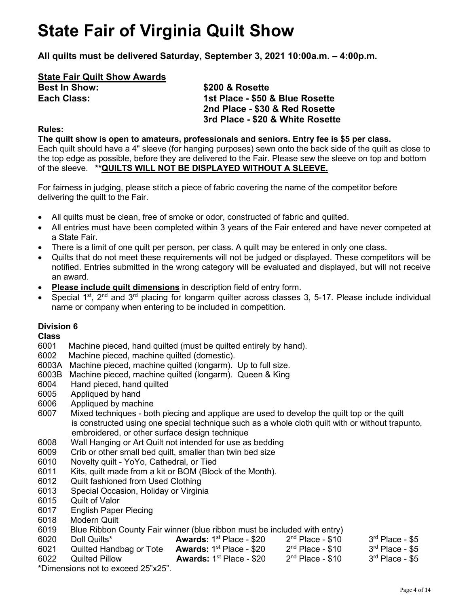# **State Fair of Virginia Quilt Show**

**All quilts must be delivered Saturday, September 3, 2021 10:00a.m. – 4:00p.m.**

# **State Fair Quilt Show Awards**

**Best In Show: \$200 & Rosette** 

# **Each Class: 1st Place - \$50 & Blue Rosette 2nd Place - \$30 & Red Rosette 3rd Place - \$20 & White Rosette**

# **Rules:**

**The quilt show is open to amateurs, professionals and seniors. Entry fee is \$5 per class.** Each quilt should have a 4" sleeve (for hanging purposes) sewn onto the back side of the quilt as close to the top edge as possible, before they are delivered to the Fair. Please sew the sleeve on top and bottom of the sleeve. **\*\*QUILTS WILL NOT BE DISPLAYED WITHOUT A SLEEVE.** 

For fairness in judging, please stitch a piece of fabric covering the name of the competitor before delivering the quilt to the Fair.

- All quilts must be clean, free of smoke or odor, constructed of fabric and quilted.
- All entries must have been completed within 3 years of the Fair entered and have never competed at a State Fair.
- There is a limit of one quilt per person, per class. A quilt may be entered in only one class.
- Quilts that do not meet these requirements will not be judged or displayed. These competitors will be notified. Entries submitted in the wrong category will be evaluated and displayed, but will not receive an award.
- **Please include quilt dimensions** in description field of entry form.
- Special  $1^{st}$ ,  $2^{nd}$  and  $3^{rd}$  placing for longarm quilter across classes 3, 5-17. Please include individual name or company when entering to be included in competition.

# **Division 6**

# **Class**

- 6001 Machine pieced, hand quilted (must be quilted entirely by hand).
- 6002 Machine pieced, machine quilted (domestic).
- 6003A Machine pieced, machine quilted (longarm). Up to full size.
- 6003B Machine pieced, machine quilted (longarm). Queen & King
- 6004 Hand pieced, hand quilted
- 6005 Appliqued by hand
- 6006 Appliqued by machine
- 6007 Mixed techniques both piecing and applique are used to develop the quilt top or the quilt is constructed using one special technique such as a whole cloth quilt with or without trapunto, embroidered, or other surface design technique
- 6008 Wall Hanging or Art Quilt not intended for use as bedding
- 6009 Crib or other small bed quilt, smaller than twin bed size
- 6010 Novelty quilt YoYo, Cathedral, or Tied
- 6011 Kits, quilt made from a kit or BOM (Block of the Month).
- 6012 Quilt fashioned from Used Clothing
- 6013 Special Occasion, Holiday or Virginia<br>6015 Quilt of Valor
- Quilt of Valor
- 6017 English Paper Piecing
- 6018 Modern Quilt
- 6019 Blue Ribbon County Fair winner (blue ribbon must be included with entry)<br>6020 Doll Quilts\* **Awards:** 1<sup>st</sup> Place \$20 2<sup>nd</sup> Place \$10
- 6020 Doll Quilts\* **Awards:** 1st Place \$20 2nd Place \$10 3rd Place \$5 6021 Quilted Handbag or Tote **Awards:** 1st Place - \$20 2nd Place - \$10 3rd Place - \$5 6022 Quilted Pillow **Awards:** 1<sup>st</sup> Place - \$20

\*Dimensions not to exceed 25"x25".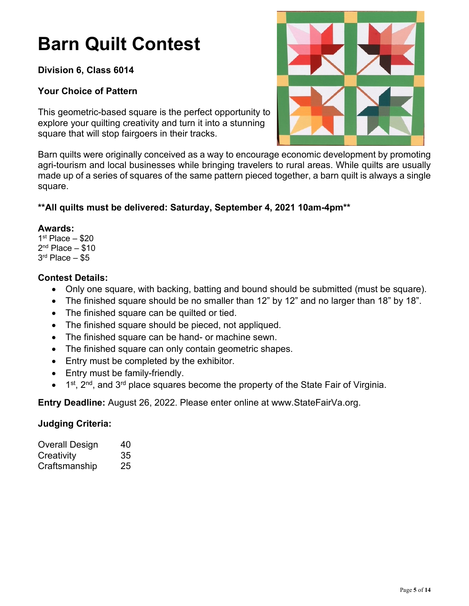# **Barn Quilt Contest**

# **Division 6, Class 6014**

# **Your Choice of Pattern**

This geometric-based square is the perfect opportunity to explore your quilting creativity and turn it into a stunning square that will stop fairgoers in their tracks.



Barn quilts were originally conceived as a way to encourage economic development by promoting agri-tourism and local businesses while bringing travelers to rural areas. While quilts are usually made up of a series of squares of the same pattern pieced together, a barn quilt is always a single square.

# **\*\*All quilts must be delivered: Saturday, September 4, 2021 10am-4pm\*\***

# **Awards:**

 $1<sup>st</sup>$  Place  $-$  \$20  $2<sup>nd</sup>$  Place  $-$  \$10  $3<sup>rd</sup>$  Place  $-$  \$5

# **Contest Details:**

- Only one square, with backing, batting and bound should be submitted (must be square).
- The finished square should be no smaller than 12" by 12" and no larger than 18" by 18".
- The finished square can be quilted or tied.
- The finished square should be pieced, not appliqued.
- The finished square can be hand- or machine sewn.
- The finished square can only contain geometric shapes.
- Entry must be completed by the exhibitor.
- Entry must be family-friendly.
- $\bullet$  1<sup>st</sup>, 2<sup>nd</sup>, and 3<sup>rd</sup> place squares become the property of the State Fair of Virginia.

**Entry Deadline:** August 26, 2022. Please enter online at www.StateFairVa.org.

# **Judging Criteria:**

| Overall Design | 40 |
|----------------|----|
| Creativity     | 35 |
| Craftsmanship  | 25 |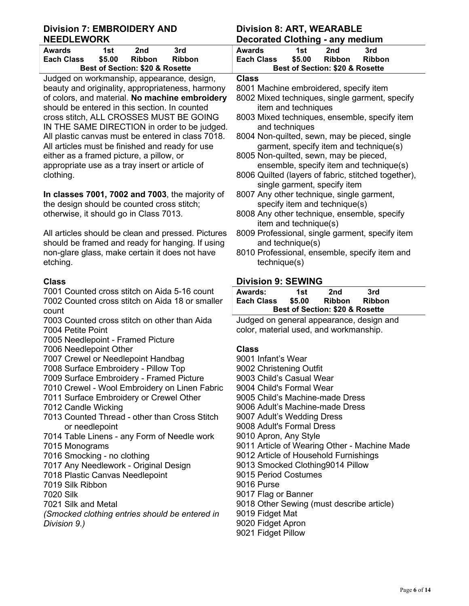# **Division 7: EMBROIDERY AND NEEDLEWORK**

| Awards                                     | 1st    | 2nd           | 3rd           |  |
|--------------------------------------------|--------|---------------|---------------|--|
| <b>Each Class</b>                          | \$5.00 | <b>Ribbon</b> | <b>Ribbon</b> |  |
| <b>Best of Section: \$20 &amp; Rosette</b> |        |               |               |  |

Judged on workmanship, appearance, design, beauty and originality, appropriateness, harmony of colors, and material. **No machine embroidery** should be entered in this section. In counted cross stitch, ALL CROSSES MUST BE GOING IN THE SAME DIRECTION in order to be judged All plastic canvas must be entered in class 7018. All articles must be finished and ready for use either as a framed picture, a pillow, or appropriate use as a tray insert or article of clothing.

**In classes 7001, 7002 and 7003**, the majority of the design should be counted cross stitch; otherwise, it should go in Class 7013.

All articles should be clean and pressed. Pictures should be framed and ready for hanging. If using non-glare glass, make certain it does not have etching.

# **Class**

7001 Counted cross stitch on Aida 5-16 count 7002 Counted cross stitch on Aida 18 or smaller count

- 7003 Counted cross stitch on other than Aida 7004 Petite Point
- 7005 Needlepoint Framed Picture
- 7006 Needlepoint Other
- 7007 Crewel or Needlepoint Handbag
- 7008 Surface Embroidery Pillow Top
- 7009 Surface Embroidery Framed Picture
- 7010 Crewel Wool Embroidery on Linen Fabric
- 7011 Surface Embroidery or Crewel Other
- 7012 Candle Wicking
- 7013 Counted Thread other than Cross Stitch or needlepoint
- 7014 Table Linens any Form of Needle work
- 7015 Monograms
- 7016 Smocking no clothing
- 7017 Any Needlework Original Design
- 7018 Plastic Canvas Needlepoint
- 7019 Silk Ribbon
- 7020 Silk
- 7021 Silk and Metal
- *(Smocked clothing entries should be entered in Division 9.)*

|    | <b>Division 8: ART, WEARABLE</b><br><b>Decorated Clothing - any medium</b>                       |
|----|--------------------------------------------------------------------------------------------------|
|    | 2nd<br><b>Awards</b><br>1st<br>3rd                                                               |
|    | \$5.00<br>Ribbon<br><b>Each Class</b><br><b>Ribbon</b><br>Best of Section: \$20 & Rosette        |
|    | <b>Class</b>                                                                                     |
|    | 8001 Machine embroidered, specify item                                                           |
| ý  | 8002 Mixed techniques, single garment, specify                                                   |
|    | item and techniques                                                                              |
|    | 8003 Mixed techniques, ensemble, specify item                                                    |
| J. | and techniques                                                                                   |
|    | 8004 Non-quilted, sewn, may be pieced, single<br>garment, specify item and technique(s)          |
|    | 8005 Non-quilted, sewn, may be pieced,                                                           |
|    | ensemble, specify item and technique(s)                                                          |
|    | 8006 Quilted (layers of fabric, stitched together),                                              |
|    | single garment, specify item                                                                     |
|    | 8007 Any other technique, single garment,<br>specify item and technique(s)                       |
|    | 8008 Any other technique, ensemble, specify                                                      |
|    | item and technique(s)                                                                            |
| s  | 8009 Professional, single garment, specify item                                                  |
| ļ  | and technique(s)<br>8010 Professional, ensemble, specify item and                                |
|    | technique(s)                                                                                     |
|    |                                                                                                  |
|    | <b>Division 9: SEWING</b>                                                                        |
|    | Awards:<br>1st<br>2nd<br>3rd                                                                     |
|    | \$5.00<br><b>Each Class</b><br><b>Ribbon</b><br><b>Ribbon</b><br>Best of Section: \$20 & Rosette |
|    | Judged on general appearance, design and                                                         |
|    | color, material used, and workmanship.                                                           |
|    |                                                                                                  |
|    | <b>Class</b>                                                                                     |
|    | 9001 Infant's Wear<br>9002 Christening Outfit                                                    |
|    |                                                                                                  |

- 9003 Child's Casual Wear
- 9004 Child's Formal Wear
- 9005 Child's Machine-made Dress
- 9006 Adult's Machine-made Dress
- 9007 Adult's Wedding Dress
- 9008 Adult's Formal Dress
- 9010 Apron, Any Style
- 9011 Article of Wearing Other Machine Made
- 9012 Article of Household Furnishings
- 9013 Smocked Clothing9014 Pillow
- 9015 Period Costumes
- 9016 Purse
- 9017 Flag or Banner
- 9018 Other Sewing (must describe article)
- 9019 Fidget Mat
- 9020 Fidget Apron
- 9021 Fidget Pillow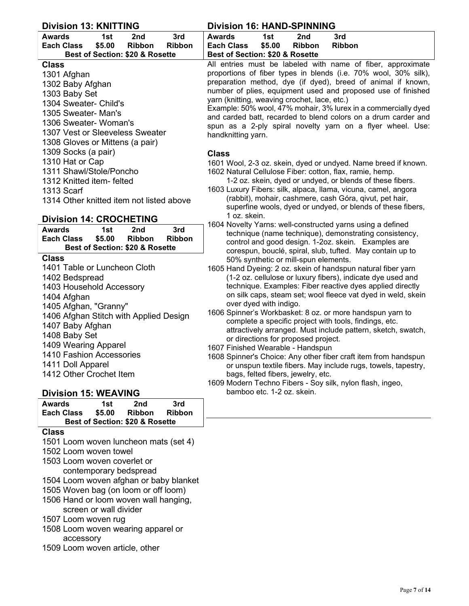| <b>Division 13: KNITTING</b>                           | <b>Division 16: HAND-SPINNING</b>                                                                                              |
|--------------------------------------------------------|--------------------------------------------------------------------------------------------------------------------------------|
| 3rd<br><b>Awards</b><br>2nd<br>1st                     | <b>Awards</b><br>1st<br>2nd<br>3rd                                                                                             |
| \$5.00<br><b>Each Class</b><br>Ribbon<br><b>Ribbon</b> | \$5.00<br><b>Each Class</b><br><b>Ribbon</b><br><b>Ribbon</b>                                                                  |
| Best of Section: \$20 & Rosette                        | Best of Section: \$20 & Rosette                                                                                                |
| <b>Class</b>                                           | All entries must be labeled with name of fiber, approximate<br>proportions of fiber types in blends (i.e. 70% wool, 30% silk), |
| 1301 Afghan                                            | preparation method, dye (if dyed), breed of animal if known,                                                                   |
| 1302 Baby Afghan                                       | number of plies, equipment used and proposed use of finished                                                                   |
| 1303 Baby Set<br>1304 Sweater- Child's                 | yarn (knitting, weaving crochet, lace, etc.)                                                                                   |
| 1305 Sweater- Man's                                    | Example: 50% wool, 47% mohair, 3% lurex in a commercially dyed                                                                 |
| 1306 Sweater- Woman's                                  | and carded batt, recarded to blend colors on a drum carder and                                                                 |
| 1307 Vest or Sleeveless Sweater                        | spun as a 2-ply spiral novelty yarn on a flyer wheel. Use:                                                                     |
| 1308 Gloves or Mittens (a pair)                        | handknitting yarn.                                                                                                             |
| 1309 Socks (a pair)                                    |                                                                                                                                |
| 1310 Hat or Cap                                        | <b>Class</b>                                                                                                                   |
| 1311 Shawl/Stole/Poncho                                | 1601 Wool, 2-3 oz. skein, dyed or undyed. Name breed if known.                                                                 |
| 1312 Knitted item- felted                              | 1602 Natural Cellulose Fiber: cotton, flax, ramie, hemp.<br>1-2 oz. skein, dyed or undyed, or blends of these fibers.          |
| 1313 Scarf                                             | 1603 Luxury Fibers: silk, alpaca, Ilama, vicuna, camel, angora                                                                 |
| 1314 Other knitted item not listed above               | (rabbit), mohair, cashmere, cash Góra, qivut, pet hair,                                                                        |
|                                                        | superfine wools, dyed or undyed, or blends of these fibers,                                                                    |
| <b>Division 14: CROCHETING</b>                         | 1 oz. skein.                                                                                                                   |
| 3rd<br><b>Awards</b><br>1st<br>2nd                     | 1604 Novelty Yarns: well-constructed yarns using a defined                                                                     |
| \$5.00<br>Ribbon<br><b>Each Class</b><br><b>Ribbon</b> | technique (name technique), demonstrating consistency,                                                                         |
| Best of Section: \$20 & Rosette                        | control and good design. 1-2oz. skein. Examples are<br>corespun, bouclé, spiral, slub, tufted. May contain up to               |
| <b>Class</b>                                           | 50% synthetic or mill-spun elements.                                                                                           |
| 1401 Table or Luncheon Cloth                           | 1605 Hand Dyeing: 2 oz. skein of handspun natural fiber yarn                                                                   |
| 1402 Bedspread                                         | (1-2 oz. cellulose or luxury fibers), indicate dye used and                                                                    |
| 1403 Household Accessory                               | technique. Examples: Fiber reactive dyes applied directly                                                                      |
| 1404 Afghan                                            | on silk caps, steam set; wool fleece vat dyed in weld, skein                                                                   |
| 1405 Afghan, "Granny"                                  | over dyed with indigo.                                                                                                         |
| 1406 Afghan Stitch with Applied Design                 | 1606 Spinner's Workbasket: 8 oz. or more handspun yarn to                                                                      |
| 1407 Baby Afghan                                       | complete a specific project with tools, findings, etc.                                                                         |
| 1408 Baby Set                                          | attractively arranged. Must include pattern, sketch, swatch,<br>or directions for proposed project.                            |
| 1409 Wearing Apparel                                   | 1607 Finished Wearable - Handspun                                                                                              |
| 1410 Fashion Accessories                               | 1608 Spinner's Choice: Any other fiber craft item from handspun                                                                |
| 1411 Doll Apparel                                      | or unspun textile fibers. May include rugs, towels, tapestry,                                                                  |
| 1412 Other Crochet Item                                | bags, felted fibers, jewelry, etc.                                                                                             |
|                                                        | 1609 Modern Techno Fibers - Soy silk, nylon flash, ingeo,                                                                      |
| <b>Division 15: WEAVING</b>                            | bamboo etc. 1-2 oz. skein.                                                                                                     |
| <b>Awards</b><br>3rd<br>1st<br>2nd                     |                                                                                                                                |
| \$5.00<br><b>Each Class</b><br>Ribbon<br>Ribbon        |                                                                                                                                |
| Best of Section: \$20 & Rosette                        |                                                                                                                                |
| <b>Class</b>                                           |                                                                                                                                |
| 1501 Loom woven luncheon mats (set 4)                  |                                                                                                                                |
| 1502 Loom woven towel                                  |                                                                                                                                |
| 1503 Loom woven coverlet or                            |                                                                                                                                |

- contemporary bedspread
- 1504 Loom woven afghan or baby blanket
- 1505 Woven bag (on loom or off loom)
- 1506 Hand or loom woven wall hanging, screen or wall divider
- 1507 Loom woven rug
- 1508 Loom woven wearing apparel or accessory
- 1509 Loom woven article, other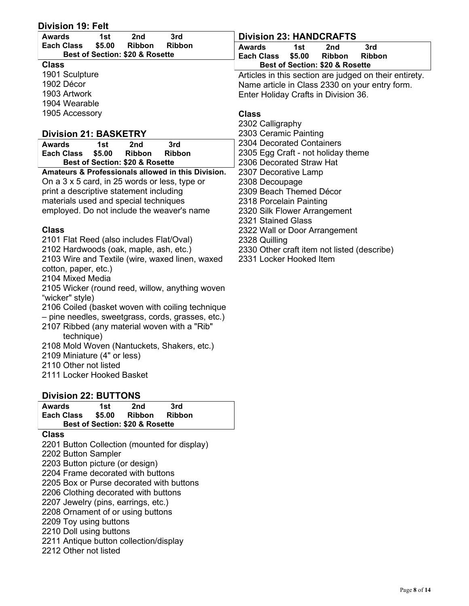| <b>Division 23: HANDCRAFTS</b><br>3rd<br><b>Awards</b><br>1st<br>2nd<br>\$5.00<br><b>Ribbon</b><br><b>Ribbon</b><br><b>Each Class</b><br>1st<br><b>Awards</b><br>2nd<br>3rd<br>Best of Section: \$20 & Rosette<br><b>Each Class</b><br>\$5.00<br><b>Ribbon</b><br><b>Ribbon</b><br><b>Class</b><br>Best of Section: \$20 & Rosette<br>1901 Sculpture<br>Articles in this section are judged on their entirety.<br>1902 Décor<br>Name article in Class 2330 on your entry form.<br>1903 Artwork<br>Enter Holiday Crafts in Division 36.<br>1904 Wearable<br>1905 Accessory<br><b>Class</b><br>2302 Calligraphy<br>2303 Ceramic Painting<br><b>Division 21: BASKETRY</b><br>2304 Decorated Containers<br>3rd<br><b>Awards</b><br>1st<br>2nd<br>2305 Egg Craft - not holiday theme<br>\$5.00<br><b>Each Class</b><br><b>Ribbon</b><br>Ribbon<br>2306 Decorated Straw Hat<br>Best of Section: \$20 & Rosette<br>Amateurs & Professionals allowed in this Division.<br>2307 Decorative Lamp<br>On a 3 x 5 card, in 25 words or less, type or<br>2308 Decoupage<br>print a descriptive statement including<br>2309 Beach Themed Décor<br>materials used and special techniques<br>2318 Porcelain Painting<br>employed. Do not include the weaver's name<br>2320 Silk Flower Arrangement<br>2321 Stained Glass<br><b>Class</b><br>2322 Wall or Door Arrangement<br>2101 Flat Reed (also includes Flat/Oval)<br>2328 Quilling<br>2102 Hardwoods (oak, maple, ash, etc.)<br>2330 Other craft item not listed (describe)<br>2103 Wire and Textile (wire, waxed linen, waxed<br>2331 Locker Hooked Item<br>cotton, paper, etc.)<br>2104 Mixed Media<br>2105 Wicker (round reed, willow, anything woven<br>"wicker" style)<br>2106 Coiled (basket woven with coiling technique<br>- pine needles, sweetgrass, cords, grasses, etc.)<br>2107 Ribbed (any material woven with a "Rib"<br>technique)<br>2108 Mold Woven (Nantuckets, Shakers, etc.)<br>2109 Miniature (4" or less)<br>2110 Other not listed<br>2111 Locker Hooked Basket<br><b>Division 22: BUTTONS</b><br><b>Awards</b><br>1st<br>2nd<br>3rd<br>\$5.00<br><b>Each Class</b><br>Ribbon<br><b>Ribbon</b><br>Best of Section: \$20 & Rosette<br><b>Class</b><br>2201 Button Collection (mounted for display)<br>2202 Button Sampler<br>2203 Button picture (or design)<br>2204 Frame decorated with buttons<br>2205 Box or Purse decorated with buttons<br>2206 Clothing decorated with buttons<br>2207 Jewelry (pins, earrings, etc.)<br>2208 Ornament of or using buttons<br>2209 Toy using buttons | <b>Division 19: Felt</b> |  |
|------------------------------------------------------------------------------------------------------------------------------------------------------------------------------------------------------------------------------------------------------------------------------------------------------------------------------------------------------------------------------------------------------------------------------------------------------------------------------------------------------------------------------------------------------------------------------------------------------------------------------------------------------------------------------------------------------------------------------------------------------------------------------------------------------------------------------------------------------------------------------------------------------------------------------------------------------------------------------------------------------------------------------------------------------------------------------------------------------------------------------------------------------------------------------------------------------------------------------------------------------------------------------------------------------------------------------------------------------------------------------------------------------------------------------------------------------------------------------------------------------------------------------------------------------------------------------------------------------------------------------------------------------------------------------------------------------------------------------------------------------------------------------------------------------------------------------------------------------------------------------------------------------------------------------------------------------------------------------------------------------------------------------------------------------------------------------------------------------------------------------------------------------------------------------------------------------------------------------------------------------------------------------------------------------------------------------------------------------------------------------------------------------------------------------------------------------------------------------------------------------------------------------------------------------|--------------------------|--|
|                                                                                                                                                                                                                                                                                                                                                                                                                                                                                                                                                                                                                                                                                                                                                                                                                                                                                                                                                                                                                                                                                                                                                                                                                                                                                                                                                                                                                                                                                                                                                                                                                                                                                                                                                                                                                                                                                                                                                                                                                                                                                                                                                                                                                                                                                                                                                                                                                                                                                                                                                      |                          |  |
|                                                                                                                                                                                                                                                                                                                                                                                                                                                                                                                                                                                                                                                                                                                                                                                                                                                                                                                                                                                                                                                                                                                                                                                                                                                                                                                                                                                                                                                                                                                                                                                                                                                                                                                                                                                                                                                                                                                                                                                                                                                                                                                                                                                                                                                                                                                                                                                                                                                                                                                                                      |                          |  |
|                                                                                                                                                                                                                                                                                                                                                                                                                                                                                                                                                                                                                                                                                                                                                                                                                                                                                                                                                                                                                                                                                                                                                                                                                                                                                                                                                                                                                                                                                                                                                                                                                                                                                                                                                                                                                                                                                                                                                                                                                                                                                                                                                                                                                                                                                                                                                                                                                                                                                                                                                      |                          |  |
|                                                                                                                                                                                                                                                                                                                                                                                                                                                                                                                                                                                                                                                                                                                                                                                                                                                                                                                                                                                                                                                                                                                                                                                                                                                                                                                                                                                                                                                                                                                                                                                                                                                                                                                                                                                                                                                                                                                                                                                                                                                                                                                                                                                                                                                                                                                                                                                                                                                                                                                                                      |                          |  |
|                                                                                                                                                                                                                                                                                                                                                                                                                                                                                                                                                                                                                                                                                                                                                                                                                                                                                                                                                                                                                                                                                                                                                                                                                                                                                                                                                                                                                                                                                                                                                                                                                                                                                                                                                                                                                                                                                                                                                                                                                                                                                                                                                                                                                                                                                                                                                                                                                                                                                                                                                      |                          |  |
|                                                                                                                                                                                                                                                                                                                                                                                                                                                                                                                                                                                                                                                                                                                                                                                                                                                                                                                                                                                                                                                                                                                                                                                                                                                                                                                                                                                                                                                                                                                                                                                                                                                                                                                                                                                                                                                                                                                                                                                                                                                                                                                                                                                                                                                                                                                                                                                                                                                                                                                                                      |                          |  |
|                                                                                                                                                                                                                                                                                                                                                                                                                                                                                                                                                                                                                                                                                                                                                                                                                                                                                                                                                                                                                                                                                                                                                                                                                                                                                                                                                                                                                                                                                                                                                                                                                                                                                                                                                                                                                                                                                                                                                                                                                                                                                                                                                                                                                                                                                                                                                                                                                                                                                                                                                      |                          |  |
|                                                                                                                                                                                                                                                                                                                                                                                                                                                                                                                                                                                                                                                                                                                                                                                                                                                                                                                                                                                                                                                                                                                                                                                                                                                                                                                                                                                                                                                                                                                                                                                                                                                                                                                                                                                                                                                                                                                                                                                                                                                                                                                                                                                                                                                                                                                                                                                                                                                                                                                                                      |                          |  |
|                                                                                                                                                                                                                                                                                                                                                                                                                                                                                                                                                                                                                                                                                                                                                                                                                                                                                                                                                                                                                                                                                                                                                                                                                                                                                                                                                                                                                                                                                                                                                                                                                                                                                                                                                                                                                                                                                                                                                                                                                                                                                                                                                                                                                                                                                                                                                                                                                                                                                                                                                      |                          |  |
|                                                                                                                                                                                                                                                                                                                                                                                                                                                                                                                                                                                                                                                                                                                                                                                                                                                                                                                                                                                                                                                                                                                                                                                                                                                                                                                                                                                                                                                                                                                                                                                                                                                                                                                                                                                                                                                                                                                                                                                                                                                                                                                                                                                                                                                                                                                                                                                                                                                                                                                                                      |                          |  |
|                                                                                                                                                                                                                                                                                                                                                                                                                                                                                                                                                                                                                                                                                                                                                                                                                                                                                                                                                                                                                                                                                                                                                                                                                                                                                                                                                                                                                                                                                                                                                                                                                                                                                                                                                                                                                                                                                                                                                                                                                                                                                                                                                                                                                                                                                                                                                                                                                                                                                                                                                      |                          |  |
|                                                                                                                                                                                                                                                                                                                                                                                                                                                                                                                                                                                                                                                                                                                                                                                                                                                                                                                                                                                                                                                                                                                                                                                                                                                                                                                                                                                                                                                                                                                                                                                                                                                                                                                                                                                                                                                                                                                                                                                                                                                                                                                                                                                                                                                                                                                                                                                                                                                                                                                                                      |                          |  |
|                                                                                                                                                                                                                                                                                                                                                                                                                                                                                                                                                                                                                                                                                                                                                                                                                                                                                                                                                                                                                                                                                                                                                                                                                                                                                                                                                                                                                                                                                                                                                                                                                                                                                                                                                                                                                                                                                                                                                                                                                                                                                                                                                                                                                                                                                                                                                                                                                                                                                                                                                      |                          |  |
|                                                                                                                                                                                                                                                                                                                                                                                                                                                                                                                                                                                                                                                                                                                                                                                                                                                                                                                                                                                                                                                                                                                                                                                                                                                                                                                                                                                                                                                                                                                                                                                                                                                                                                                                                                                                                                                                                                                                                                                                                                                                                                                                                                                                                                                                                                                                                                                                                                                                                                                                                      |                          |  |
|                                                                                                                                                                                                                                                                                                                                                                                                                                                                                                                                                                                                                                                                                                                                                                                                                                                                                                                                                                                                                                                                                                                                                                                                                                                                                                                                                                                                                                                                                                                                                                                                                                                                                                                                                                                                                                                                                                                                                                                                                                                                                                                                                                                                                                                                                                                                                                                                                                                                                                                                                      |                          |  |
|                                                                                                                                                                                                                                                                                                                                                                                                                                                                                                                                                                                                                                                                                                                                                                                                                                                                                                                                                                                                                                                                                                                                                                                                                                                                                                                                                                                                                                                                                                                                                                                                                                                                                                                                                                                                                                                                                                                                                                                                                                                                                                                                                                                                                                                                                                                                                                                                                                                                                                                                                      |                          |  |
|                                                                                                                                                                                                                                                                                                                                                                                                                                                                                                                                                                                                                                                                                                                                                                                                                                                                                                                                                                                                                                                                                                                                                                                                                                                                                                                                                                                                                                                                                                                                                                                                                                                                                                                                                                                                                                                                                                                                                                                                                                                                                                                                                                                                                                                                                                                                                                                                                                                                                                                                                      |                          |  |
|                                                                                                                                                                                                                                                                                                                                                                                                                                                                                                                                                                                                                                                                                                                                                                                                                                                                                                                                                                                                                                                                                                                                                                                                                                                                                                                                                                                                                                                                                                                                                                                                                                                                                                                                                                                                                                                                                                                                                                                                                                                                                                                                                                                                                                                                                                                                                                                                                                                                                                                                                      |                          |  |
|                                                                                                                                                                                                                                                                                                                                                                                                                                                                                                                                                                                                                                                                                                                                                                                                                                                                                                                                                                                                                                                                                                                                                                                                                                                                                                                                                                                                                                                                                                                                                                                                                                                                                                                                                                                                                                                                                                                                                                                                                                                                                                                                                                                                                                                                                                                                                                                                                                                                                                                                                      |                          |  |
|                                                                                                                                                                                                                                                                                                                                                                                                                                                                                                                                                                                                                                                                                                                                                                                                                                                                                                                                                                                                                                                                                                                                                                                                                                                                                                                                                                                                                                                                                                                                                                                                                                                                                                                                                                                                                                                                                                                                                                                                                                                                                                                                                                                                                                                                                                                                                                                                                                                                                                                                                      |                          |  |
|                                                                                                                                                                                                                                                                                                                                                                                                                                                                                                                                                                                                                                                                                                                                                                                                                                                                                                                                                                                                                                                                                                                                                                                                                                                                                                                                                                                                                                                                                                                                                                                                                                                                                                                                                                                                                                                                                                                                                                                                                                                                                                                                                                                                                                                                                                                                                                                                                                                                                                                                                      |                          |  |
|                                                                                                                                                                                                                                                                                                                                                                                                                                                                                                                                                                                                                                                                                                                                                                                                                                                                                                                                                                                                                                                                                                                                                                                                                                                                                                                                                                                                                                                                                                                                                                                                                                                                                                                                                                                                                                                                                                                                                                                                                                                                                                                                                                                                                                                                                                                                                                                                                                                                                                                                                      |                          |  |
|                                                                                                                                                                                                                                                                                                                                                                                                                                                                                                                                                                                                                                                                                                                                                                                                                                                                                                                                                                                                                                                                                                                                                                                                                                                                                                                                                                                                                                                                                                                                                                                                                                                                                                                                                                                                                                                                                                                                                                                                                                                                                                                                                                                                                                                                                                                                                                                                                                                                                                                                                      |                          |  |
|                                                                                                                                                                                                                                                                                                                                                                                                                                                                                                                                                                                                                                                                                                                                                                                                                                                                                                                                                                                                                                                                                                                                                                                                                                                                                                                                                                                                                                                                                                                                                                                                                                                                                                                                                                                                                                                                                                                                                                                                                                                                                                                                                                                                                                                                                                                                                                                                                                                                                                                                                      |                          |  |
|                                                                                                                                                                                                                                                                                                                                                                                                                                                                                                                                                                                                                                                                                                                                                                                                                                                                                                                                                                                                                                                                                                                                                                                                                                                                                                                                                                                                                                                                                                                                                                                                                                                                                                                                                                                                                                                                                                                                                                                                                                                                                                                                                                                                                                                                                                                                                                                                                                                                                                                                                      |                          |  |
|                                                                                                                                                                                                                                                                                                                                                                                                                                                                                                                                                                                                                                                                                                                                                                                                                                                                                                                                                                                                                                                                                                                                                                                                                                                                                                                                                                                                                                                                                                                                                                                                                                                                                                                                                                                                                                                                                                                                                                                                                                                                                                                                                                                                                                                                                                                                                                                                                                                                                                                                                      |                          |  |
|                                                                                                                                                                                                                                                                                                                                                                                                                                                                                                                                                                                                                                                                                                                                                                                                                                                                                                                                                                                                                                                                                                                                                                                                                                                                                                                                                                                                                                                                                                                                                                                                                                                                                                                                                                                                                                                                                                                                                                                                                                                                                                                                                                                                                                                                                                                                                                                                                                                                                                                                                      |                          |  |
|                                                                                                                                                                                                                                                                                                                                                                                                                                                                                                                                                                                                                                                                                                                                                                                                                                                                                                                                                                                                                                                                                                                                                                                                                                                                                                                                                                                                                                                                                                                                                                                                                                                                                                                                                                                                                                                                                                                                                                                                                                                                                                                                                                                                                                                                                                                                                                                                                                                                                                                                                      |                          |  |
|                                                                                                                                                                                                                                                                                                                                                                                                                                                                                                                                                                                                                                                                                                                                                                                                                                                                                                                                                                                                                                                                                                                                                                                                                                                                                                                                                                                                                                                                                                                                                                                                                                                                                                                                                                                                                                                                                                                                                                                                                                                                                                                                                                                                                                                                                                                                                                                                                                                                                                                                                      |                          |  |
|                                                                                                                                                                                                                                                                                                                                                                                                                                                                                                                                                                                                                                                                                                                                                                                                                                                                                                                                                                                                                                                                                                                                                                                                                                                                                                                                                                                                                                                                                                                                                                                                                                                                                                                                                                                                                                                                                                                                                                                                                                                                                                                                                                                                                                                                                                                                                                                                                                                                                                                                                      |                          |  |
|                                                                                                                                                                                                                                                                                                                                                                                                                                                                                                                                                                                                                                                                                                                                                                                                                                                                                                                                                                                                                                                                                                                                                                                                                                                                                                                                                                                                                                                                                                                                                                                                                                                                                                                                                                                                                                                                                                                                                                                                                                                                                                                                                                                                                                                                                                                                                                                                                                                                                                                                                      |                          |  |
|                                                                                                                                                                                                                                                                                                                                                                                                                                                                                                                                                                                                                                                                                                                                                                                                                                                                                                                                                                                                                                                                                                                                                                                                                                                                                                                                                                                                                                                                                                                                                                                                                                                                                                                                                                                                                                                                                                                                                                                                                                                                                                                                                                                                                                                                                                                                                                                                                                                                                                                                                      |                          |  |
|                                                                                                                                                                                                                                                                                                                                                                                                                                                                                                                                                                                                                                                                                                                                                                                                                                                                                                                                                                                                                                                                                                                                                                                                                                                                                                                                                                                                                                                                                                                                                                                                                                                                                                                                                                                                                                                                                                                                                                                                                                                                                                                                                                                                                                                                                                                                                                                                                                                                                                                                                      |                          |  |
|                                                                                                                                                                                                                                                                                                                                                                                                                                                                                                                                                                                                                                                                                                                                                                                                                                                                                                                                                                                                                                                                                                                                                                                                                                                                                                                                                                                                                                                                                                                                                                                                                                                                                                                                                                                                                                                                                                                                                                                                                                                                                                                                                                                                                                                                                                                                                                                                                                                                                                                                                      |                          |  |
|                                                                                                                                                                                                                                                                                                                                                                                                                                                                                                                                                                                                                                                                                                                                                                                                                                                                                                                                                                                                                                                                                                                                                                                                                                                                                                                                                                                                                                                                                                                                                                                                                                                                                                                                                                                                                                                                                                                                                                                                                                                                                                                                                                                                                                                                                                                                                                                                                                                                                                                                                      |                          |  |
|                                                                                                                                                                                                                                                                                                                                                                                                                                                                                                                                                                                                                                                                                                                                                                                                                                                                                                                                                                                                                                                                                                                                                                                                                                                                                                                                                                                                                                                                                                                                                                                                                                                                                                                                                                                                                                                                                                                                                                                                                                                                                                                                                                                                                                                                                                                                                                                                                                                                                                                                                      |                          |  |
|                                                                                                                                                                                                                                                                                                                                                                                                                                                                                                                                                                                                                                                                                                                                                                                                                                                                                                                                                                                                                                                                                                                                                                                                                                                                                                                                                                                                                                                                                                                                                                                                                                                                                                                                                                                                                                                                                                                                                                                                                                                                                                                                                                                                                                                                                                                                                                                                                                                                                                                                                      |                          |  |
|                                                                                                                                                                                                                                                                                                                                                                                                                                                                                                                                                                                                                                                                                                                                                                                                                                                                                                                                                                                                                                                                                                                                                                                                                                                                                                                                                                                                                                                                                                                                                                                                                                                                                                                                                                                                                                                                                                                                                                                                                                                                                                                                                                                                                                                                                                                                                                                                                                                                                                                                                      |                          |  |
|                                                                                                                                                                                                                                                                                                                                                                                                                                                                                                                                                                                                                                                                                                                                                                                                                                                                                                                                                                                                                                                                                                                                                                                                                                                                                                                                                                                                                                                                                                                                                                                                                                                                                                                                                                                                                                                                                                                                                                                                                                                                                                                                                                                                                                                                                                                                                                                                                                                                                                                                                      |                          |  |
|                                                                                                                                                                                                                                                                                                                                                                                                                                                                                                                                                                                                                                                                                                                                                                                                                                                                                                                                                                                                                                                                                                                                                                                                                                                                                                                                                                                                                                                                                                                                                                                                                                                                                                                                                                                                                                                                                                                                                                                                                                                                                                                                                                                                                                                                                                                                                                                                                                                                                                                                                      |                          |  |
|                                                                                                                                                                                                                                                                                                                                                                                                                                                                                                                                                                                                                                                                                                                                                                                                                                                                                                                                                                                                                                                                                                                                                                                                                                                                                                                                                                                                                                                                                                                                                                                                                                                                                                                                                                                                                                                                                                                                                                                                                                                                                                                                                                                                                                                                                                                                                                                                                                                                                                                                                      |                          |  |
|                                                                                                                                                                                                                                                                                                                                                                                                                                                                                                                                                                                                                                                                                                                                                                                                                                                                                                                                                                                                                                                                                                                                                                                                                                                                                                                                                                                                                                                                                                                                                                                                                                                                                                                                                                                                                                                                                                                                                                                                                                                                                                                                                                                                                                                                                                                                                                                                                                                                                                                                                      |                          |  |
|                                                                                                                                                                                                                                                                                                                                                                                                                                                                                                                                                                                                                                                                                                                                                                                                                                                                                                                                                                                                                                                                                                                                                                                                                                                                                                                                                                                                                                                                                                                                                                                                                                                                                                                                                                                                                                                                                                                                                                                                                                                                                                                                                                                                                                                                                                                                                                                                                                                                                                                                                      |                          |  |
|                                                                                                                                                                                                                                                                                                                                                                                                                                                                                                                                                                                                                                                                                                                                                                                                                                                                                                                                                                                                                                                                                                                                                                                                                                                                                                                                                                                                                                                                                                                                                                                                                                                                                                                                                                                                                                                                                                                                                                                                                                                                                                                                                                                                                                                                                                                                                                                                                                                                                                                                                      |                          |  |
|                                                                                                                                                                                                                                                                                                                                                                                                                                                                                                                                                                                                                                                                                                                                                                                                                                                                                                                                                                                                                                                                                                                                                                                                                                                                                                                                                                                                                                                                                                                                                                                                                                                                                                                                                                                                                                                                                                                                                                                                                                                                                                                                                                                                                                                                                                                                                                                                                                                                                                                                                      |                          |  |
|                                                                                                                                                                                                                                                                                                                                                                                                                                                                                                                                                                                                                                                                                                                                                                                                                                                                                                                                                                                                                                                                                                                                                                                                                                                                                                                                                                                                                                                                                                                                                                                                                                                                                                                                                                                                                                                                                                                                                                                                                                                                                                                                                                                                                                                                                                                                                                                                                                                                                                                                                      |                          |  |
|                                                                                                                                                                                                                                                                                                                                                                                                                                                                                                                                                                                                                                                                                                                                                                                                                                                                                                                                                                                                                                                                                                                                                                                                                                                                                                                                                                                                                                                                                                                                                                                                                                                                                                                                                                                                                                                                                                                                                                                                                                                                                                                                                                                                                                                                                                                                                                                                                                                                                                                                                      |                          |  |
|                                                                                                                                                                                                                                                                                                                                                                                                                                                                                                                                                                                                                                                                                                                                                                                                                                                                                                                                                                                                                                                                                                                                                                                                                                                                                                                                                                                                                                                                                                                                                                                                                                                                                                                                                                                                                                                                                                                                                                                                                                                                                                                                                                                                                                                                                                                                                                                                                                                                                                                                                      |                          |  |
|                                                                                                                                                                                                                                                                                                                                                                                                                                                                                                                                                                                                                                                                                                                                                                                                                                                                                                                                                                                                                                                                                                                                                                                                                                                                                                                                                                                                                                                                                                                                                                                                                                                                                                                                                                                                                                                                                                                                                                                                                                                                                                                                                                                                                                                                                                                                                                                                                                                                                                                                                      |                          |  |
|                                                                                                                                                                                                                                                                                                                                                                                                                                                                                                                                                                                                                                                                                                                                                                                                                                                                                                                                                                                                                                                                                                                                                                                                                                                                                                                                                                                                                                                                                                                                                                                                                                                                                                                                                                                                                                                                                                                                                                                                                                                                                                                                                                                                                                                                                                                                                                                                                                                                                                                                                      |                          |  |
|                                                                                                                                                                                                                                                                                                                                                                                                                                                                                                                                                                                                                                                                                                                                                                                                                                                                                                                                                                                                                                                                                                                                                                                                                                                                                                                                                                                                                                                                                                                                                                                                                                                                                                                                                                                                                                                                                                                                                                                                                                                                                                                                                                                                                                                                                                                                                                                                                                                                                                                                                      |                          |  |
| 2210 Doll using buttons                                                                                                                                                                                                                                                                                                                                                                                                                                                                                                                                                                                                                                                                                                                                                                                                                                                                                                                                                                                                                                                                                                                                                                                                                                                                                                                                                                                                                                                                                                                                                                                                                                                                                                                                                                                                                                                                                                                                                                                                                                                                                                                                                                                                                                                                                                                                                                                                                                                                                                                              |                          |  |
| 2211 Antique button collection/display                                                                                                                                                                                                                                                                                                                                                                                                                                                                                                                                                                                                                                                                                                                                                                                                                                                                                                                                                                                                                                                                                                                                                                                                                                                                                                                                                                                                                                                                                                                                                                                                                                                                                                                                                                                                                                                                                                                                                                                                                                                                                                                                                                                                                                                                                                                                                                                                                                                                                                               |                          |  |

 $\overline{\phantom{a}}$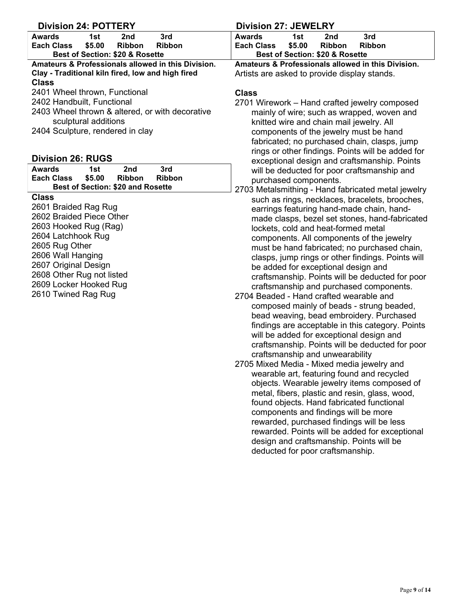### **Division 24: POTTERY Division 27: JEWELRY Awards 1st 2nd 3rd Each Class Best of Section: \$20 & Rosette Amateurs & Professionals allowed in this Division. Clay - Traditional kiln fired, low and high fired Class**  2401 Wheel thrown, Functional 2402 Handbuilt, Functional 2403 Wheel thrown & altered, or with decorative sculptural additions **Class**

2404 Sculpture, rendered in clay

# **Division 26: RUGS**

| Awards                    | 1st    | 2nd                                      | 3rd    |  |
|---------------------------|--------|------------------------------------------|--------|--|
| <b>Each Class</b>         | \$5.00 | Ribbon                                   | Ribbon |  |
|                           |        | <b>Best of Section: \$20 and Rosette</b> |        |  |
| Class                     |        |                                          |        |  |
| 2601 Braided Rag Rug      |        |                                          |        |  |
| 2602 Braided Piece Other  |        |                                          |        |  |
| 2603 Hooked Rug (Rag)     |        |                                          |        |  |
| 2604 Latchhook Rug        |        |                                          |        |  |
| 2605 Rug Other            |        |                                          |        |  |
| 2606 Wall Hanging         |        |                                          |        |  |
| 2607 Original Design      |        |                                          |        |  |
| 2608 Other Rug not listed |        |                                          |        |  |
| 2609 Locker Hooked Rug    |        |                                          |        |  |
| 2610 Twined Rag Rug       |        |                                          |        |  |

| Awards                          | 1st    | 2nd    | 3rd    |  |
|---------------------------------|--------|--------|--------|--|
| <b>Each Class</b>               | \$5.00 | Ribbon | Ribbon |  |
| Best of Section: \$20 & Rosette |        |        |        |  |

**Amateurs & Professionals allowed in this Division.** Artists are asked to provide display stands.

- 2701 Wirework Hand crafted jewelry composed mainly of wire; such as wrapped, woven and knitted wire and chain mail jewelry. All components of the jewelry must be hand fabricated; no purchased chain, clasps, jump rings or other findings. Points will be added for exceptional design and craftsmanship. Points will be deducted for poor craftsmanship and purchased components.
- 2703 Metalsmithing Hand fabricated metal jewelry such as rings, necklaces, bracelets, brooches, earrings featuring hand-made chain, handmade clasps, bezel set stones, hand-fabricated lockets, cold and heat-formed metal components. All components of the jewelry must be hand fabricated; no purchased chain, clasps, jump rings or other findings. Points will be added for exceptional design and craftsmanship. Points will be deducted for poor craftsmanship and purchased components.
- 2704 Beaded Hand crafted wearable and composed mainly of beads - strung beaded, bead weaving, bead embroidery. Purchased findings are acceptable in this category. Points will be added for exceptional design and craftsmanship. Points will be deducted for poor craftsmanship and unwearability
- 2705 Mixed Media Mixed media jewelry and wearable art, featuring found and recycled objects. Wearable jewelry items composed of metal, fibers, plastic and resin, glass, wood, found objects. Hand fabricated functional components and findings will be more rewarded, purchased findings will be less rewarded. Points will be added for exceptional design and craftsmanship. Points will be deducted for poor craftsmanship.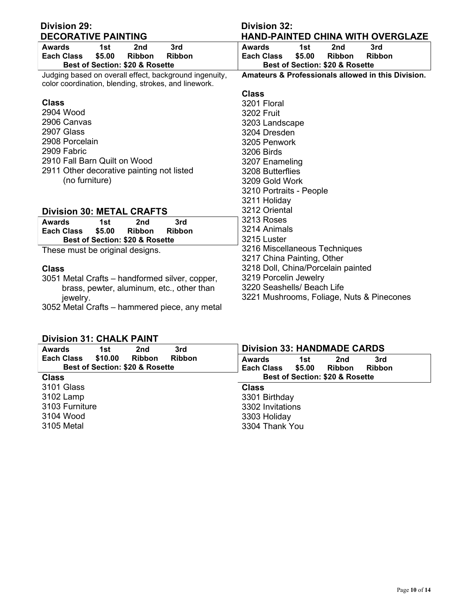| <b>Division 29:</b>                                    | <b>Division 32:</b>                                    |
|--------------------------------------------------------|--------------------------------------------------------|
| <b>DECORATIVE PAINTING</b>                             | <b>HAND-PAINTED CHINA WITH OVERGLAZE</b>               |
| 3rd<br><b>Awards</b><br>1st<br>2 <sub>nd</sub>         | <b>Awards</b><br>3rd<br>1st<br>2 <sub>nd</sub>         |
| \$5.00<br><b>Ribbon</b><br>Ribbon<br>Each Class        | \$5.00<br><b>Ribbon</b><br>Ribbon<br><b>Each Class</b> |
| Best of Section: \$20 & Rosette                        | Best of Section: \$20 & Rosette                        |
| Judging based on overall effect, background ingenuity, | Amateurs & Professionals allowed in this Division.     |
| color coordination, blending, strokes, and linework.   |                                                        |
|                                                        | <b>Class</b>                                           |
| <b>Class</b>                                           | 3201 Floral                                            |
| 2904 Wood                                              | <b>3202 Fruit</b>                                      |
| 2906 Canvas                                            | 3203 Landscape                                         |
| 2907 Glass                                             | 3204 Dresden                                           |
| 2908 Porcelain                                         | 3205 Penwork                                           |
| 2909 Fabric                                            | <b>3206 Birds</b>                                      |
| 2910 Fall Barn Quilt on Wood                           | 3207 Enameling                                         |
| 2911 Other decorative painting not listed              | 3208 Butterflies                                       |
| (no furniture)                                         | 3209 Gold Work                                         |
|                                                        | 3210 Portraits - People                                |
|                                                        | 3211 Holiday                                           |
| <b>Division 30: METAL CRAFTS</b>                       | 3212 Oriental                                          |
| 3rd<br><b>Awards</b><br>1st<br>2nd                     | 3213 Roses                                             |
| \$5.00<br>Each Class<br><b>Ribbon</b><br><b>Ribbon</b> | 3214 Animals                                           |
| Best of Section: \$20 & Rosette                        | 3215 Luster                                            |
| These must be original designs.                        | 3216 Miscellaneous Techniques                          |
|                                                        | 3217 China Painting, Other                             |
| <b>Class</b>                                           | 3218 Doll, China/Porcelain painted                     |
| 3051 Metal Crafts – handformed silver, copper,         | 3219 Porcelin Jewelry                                  |
| brass, pewter, aluminum, etc., other than              | 3220 Seashells/ Beach Life                             |
| jewelry.                                               | 3221 Mushrooms, Foliage, Nuts & Pinecones              |
| 3052 Metal Crafts - hammered piece, any metal          |                                                        |

# **Division 31: CHALK PAINT**

| 3rd<br><b>Awards</b><br>1st<br>2nd                                                                | <b>Division 33: HANDMADE CARDS</b>                                                                  |
|---------------------------------------------------------------------------------------------------|-----------------------------------------------------------------------------------------------------|
| \$10.00<br><b>Each Class</b><br><b>Ribbon</b><br><b>Ribbon</b><br>Best of Section: \$20 & Rosette | 3rd<br><b>Awards</b><br>1st<br>2nd<br>\$5.00<br><b>Ribbon</b><br><b>Each Class</b><br><b>Ribbon</b> |
| <b>Class</b>                                                                                      | Best of Section: \$20 & Rosette                                                                     |
| 3101 Glass                                                                                        | <b>Class</b>                                                                                        |
| 3102 Lamp                                                                                         | 3301 Birthday                                                                                       |
| 3103 Furniture                                                                                    | 3302 Invitations                                                                                    |
| 3104 Wood                                                                                         | 3303 Holiday                                                                                        |
| 3105 Metal                                                                                        | 3304 Thank You                                                                                      |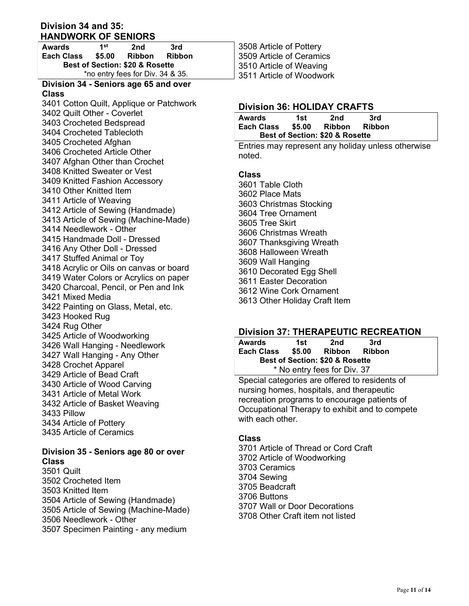### **Division 34 and 35: HANDWORK OF SENIORS**

| 1st<br><b>Awards</b>                |        | 2nd    | 3rd |  |  |
|-------------------------------------|--------|--------|-----|--|--|
| <b>Each Class</b>                   | \$5.00 | Ribbon |     |  |  |
| Best of Section: \$20 & Rosette     |        |        |     |  |  |
| *no entry fees for Div. 34 & 35.    |        |        |     |  |  |
| Division 24 Contage ago CE and even |        |        |     |  |  |

#### **Division 34 - Seniors age 65 and over Class**

3401 Cotton Quilt, Applique or Patchwork 3402 Quilt Other - Coverlet 3403 Crocheted Bedspread 3404 Crocheted Tablecloth 3405 Crocheted Afghan 3406 Crocheted Article Other 3407 Afghan Other than Crochet 3408 Knitted Sweater or Vest 3409 Knitted Fashion Accessory 3410 Other Knitted Item 3411 Article of Weaving 3412 Article of Sewing (Handmade) 3413 Article of Sewing (Machine-Made) 3414 Needlework - Other 3415 Handmade Doll - Dressed 3416 Any Other Doll - Dressed 3417 Stuffed Animal or Toy 3418 Acrylic or Oils on canvas or board 3419 Water Colors or Acrylics on paper 3420 Charcoal, Pencil, or Pen and Ink 3421 Mixed Media 3422 Painting on Glass, Metal, etc. 3423 Hooked Rug 3424 Rug Other 3425 Article of Woodworking 3426 Wall Hanging - Needlework 3427 Wall Hanging - Any Other 3428 Crochet Apparel 3429 Article of Bead Craft 3430 Article of Wood Carving 3431 Article of Metal Work 3432 Article of Basket Weaving 3433 Pillow 3434 Article of Pottery 3435 Article of Ceramics

# **Division 35 - Seniors age 80 or over Class**

3501 Quilt 3502 Crocheted Item 3503 Knitted Item 3504 Article of Sewing (Handmade) 3505 Article of Sewing (Machine-Made) 3506 Needlework - Other 3507 Specimen Painting - any medium

3508 Article of Pottery 3509 Article of Ceramics 3510 Article of Weaving 3511 Article of Woodwork

# **Division 36: HOLIDAY CRAFTS**

| Awards            | 1st    | 2nd                             | 3rd           |  |
|-------------------|--------|---------------------------------|---------------|--|
| <b>Each Class</b> | \$5.00 | Ribbon                          | <b>Ribbon</b> |  |
|                   |        | Best of Section: \$20 & Rosette |               |  |

Entries may represent any holiday unless otherwise noted.

# **Class**

3601 Table Cloth 3602 Place Mats 3603 Christmas Stocking 3604 Tree Ornament 3605 Tree Skirt 3606 Christmas Wreath 3607 Thanksgiving Wreath 3608 Halloween Wreath 3609 Wall Hanging 3610 Decorated Egg Shell 3611 Easter Decoration 3612 Wine Cork Ornament 3613 Other Holiday Craft Item

# **Division 37: THERAPEUTIC RECREATION**

| <b>Awards</b>                   | 1st |               | 3rd |  |  |
|---------------------------------|-----|---------------|-----|--|--|
| \$5.00<br><b>Each Class</b>     |     | Ribbon Ribbon |     |  |  |
| Best of Section: \$20 & Rosette |     |               |     |  |  |
| * No entry fees for Div. 37     |     |               |     |  |  |

Special categories are offered to residents of nursing homes, hospitals, and therapeutic recreation programs to encourage patients of Occupational Therapy to exhibit and to compete with each other

# **Class**

3701 Article of Thread or Cord Craft 3702 Article of Woodworking 3703 Ceramics 3704 Sewing 3705 Beadcraft 3706 Buttons 3707 Wall or Door Decorations 3708 Other Craft item not listed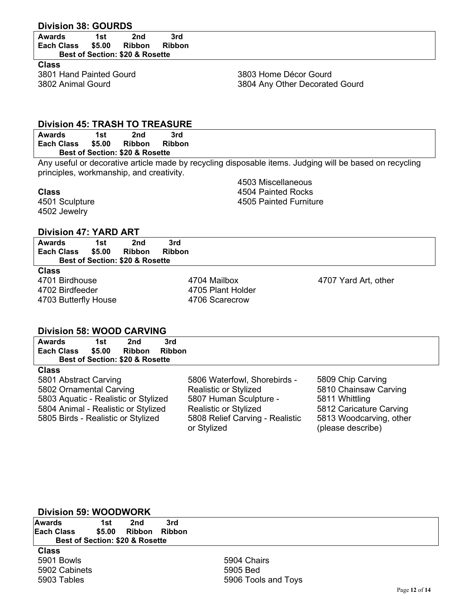# **Division 38: GOURDS**

| <b>Awards</b> | 1st    | 2nd                                        | 3rd    |
|---------------|--------|--------------------------------------------|--------|
| Each Class    | \$5.00 | Ribbon                                     | Ribbon |
|               |        | <b>Best of Section: \$20 &amp; Rosette</b> |        |

**Class**  3801 Hand Painted Gourd 3802 Animal Gourd

3803 Home Décor Gourd 3804 Any Other Decorated Gourd

### **Division 45: TRASH TO TREASURE**

| Awards            | 1st    | 2nd                                        | 3rd           |
|-------------------|--------|--------------------------------------------|---------------|
| <b>Each Class</b> | \$5.00 | Ribbon                                     | <b>Ribbon</b> |
|                   |        | <b>Best of Section: \$20 &amp; Rosette</b> |               |

Any useful or decorative article made by recycling disposable items. Judging will be based on recycling principles, workmanship, and creativity.

#### **Class**

4501 Sculpture 4502 Jewelry

4702 Birdfeeder 4703 Butterfly House 4503 Miscellaneous 4504 Painted Rocks 4505 Painted Furniture

## **Division 47: YARD ART**

| <b>Awards</b><br><b>Each Class</b> | 1st<br>\$5.00 | 2nd<br><b>Ribbon</b><br>Best of Section: \$20 & Rosette | 3rd<br><b>Ribbon</b> |                      |
|------------------------------------|---------------|---------------------------------------------------------|----------------------|----------------------|
| <b>Class</b>                       |               |                                                         |                      |                      |
| 4701 Birdhouse                     |               |                                                         | 4704 Mailbox         | 4707 Yard Art, other |

4705 Plant Holder 4706 Scarecrow

# **Division 58: WOOD CARVING**

| <b>Awards</b>            | 1st | 2nd                             | 3rd |
|--------------------------|-----|---------------------------------|-----|
| Each Class \$5.00        |     | Ribbon Ribbon                   |     |
|                          |     | Best of Section: \$20 & Rosette |     |
| $\bigcap_{n=1}^{\infty}$ |     |                                 |     |

#### **Class**

5801 Abstract Carving 5802 Ornamental Carving 5803 Aquatic - Realistic or Stylized 5804 Animal - Realistic or Stylized 5805 Birds - Realistic or Stylized

5806 Waterfowl, Shorebirds - Realistic or Stylized 5807 Human Sculpture - Realistic or Stylized 5808 Relief Carving - Realistic or Stylized

5809 Chip Carving 5810 Chainsaw Carving 5811 Whittling 5812 Caricature Carving 5813 Woodcarving, other (please describe)

#### **Division 59: WOODWORK**

| <b>Awards</b> | 1st | 2nd                                        | 3rd |
|---------------|-----|--------------------------------------------|-----|
| lEach Class   |     | \$5.00 Ribbon Ribbon                       |     |
|               |     | <b>Best of Section: \$20 &amp; Rosette</b> |     |

**Class**  5901 Bowls 5902 Cabinets 5903 Tables

5904 Chairs 5905 Bed 5906 Tools and Toys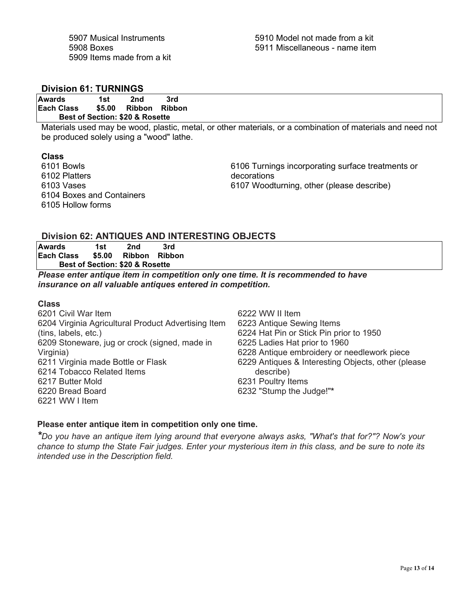# **Division 61: TURNINGS**

**Awards 1st 2nd 3rd**  \$5.00 Ribbon Ribbon  **Best of Section: \$20 & Rosette**

Materials used may be wood, plastic, metal, or other materials, or a combination of materials and need not be produced solely using a "wood" lathe.

### **Class**

6101 Bowls 6102 Platters 6103 Vases 6104 Boxes and Containers 6105 Hollow forms

6106 Turnings incorporating surface treatments or decorations 6107 Woodturning, other (please describe)

# **Division 62: ANTIQUES AND INTERESTING OBJECTS**

| Awards     | 1st    | 2nd                                        | 3rd |
|------------|--------|--------------------------------------------|-----|
| Each Class | \$5.00 | Ribbon Ribbon                              |     |
|            |        | <b>Best of Section: \$20 &amp; Rosette</b> |     |

*Please enter antique item in competition only one time. It is recommended to have insurance on all valuable antiques entered in competition.* 

### **Class**

6201 Civil War Item 6204 Virginia Agricultural Product Advertising Item (tins, labels, etc.) 6209 Stoneware, jug or crock (signed, made in Virginia) 6211 Virginia made Bottle or Flask 6214 Tobacco Related Items 6217 Butter Mold 6220 Bread Board 6221 WW I Item

6222 WW II Item 6223 Antique Sewing Items 6224 Hat Pin or Stick Pin prior to 1950 6225 Ladies Hat prior to 1960 6228 Antique embroidery or needlework piece 6229 Antiques & Interesting Objects, other (please describe) 6231 Poultry Items 6232 "Stump the Judge!"**\***

# **Please enter antique item in competition only one time.**

*\*Do you have an antique item lying around that everyone always asks, "What's that for?"? Now's your chance to stump the State Fair judges. Enter your mysterious item in this class, and be sure to note its intended use in the Description field.*